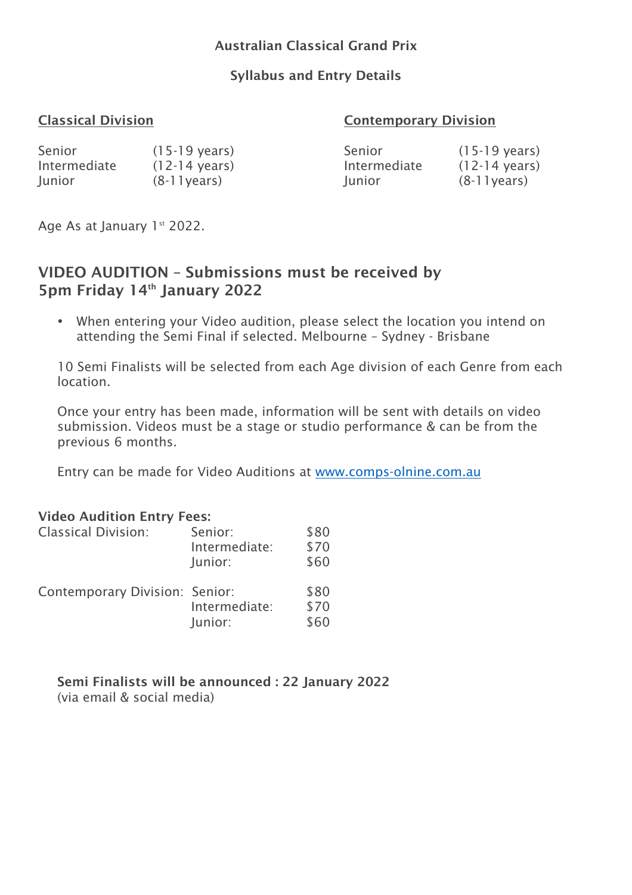# Australian Classical Grand Prix

# Syllabus and Entry Details

# Classical Division Contemporary Division

| Senior       | $(15-19 \text{ years})$ | Senior       | $(15-19 \text{ years})$ |
|--------------|-------------------------|--------------|-------------------------|
| Intermediate | $(12-14 \text{ years})$ | Intermediate | $(12-14 \text{ years})$ |
| Junior       | $(8-11)$ years)         | Junior       | $(8-11)$ years)         |

Age As at January 1st 2022.

# VIDEO AUDITION – Submissions must be received by 5pm Friday 14<sup>th</sup> January 2022

• When entering your Video audition, please select the location you intend on attending the Semi Final if selected. Melbourne – Sydney - Brisbane

10 Semi Finalists will be selected from each Age division of each Genre from each location.

Once your entry has been made, information will be sent with details on video submission. Videos must be a stage or studio performance & can be from the previous 6 months.

Entry can be made for Video Auditions at www.comps-olnine.com.au

#### Video Audition Entry Fees:

| <b>Classical Division:</b>            | Senior:<br>Intermediate:<br>Junior: | \$80<br>\$70<br>\$60 |
|---------------------------------------|-------------------------------------|----------------------|
| <b>Contemporary Division: Senior:</b> | Intermediate:<br>Junior:            | \$80<br>\$70<br>\$60 |

Semi Finalists will be announced : 22 January 2022 (via email & social media)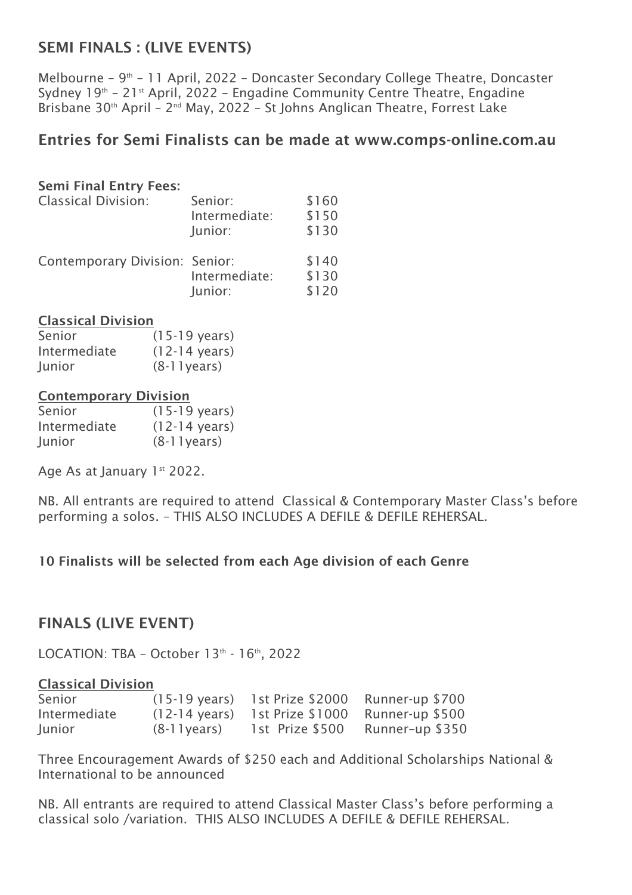# SEMI FINALS : (LIVE EVENTS)

Melbourne – 9<sup>th</sup> – 11 April, 2022 – Doncaster Secondary College Theatre, Doncaster Sydney  $19<sup>th</sup>$  – 21 $<sup>st</sup>$  April, 2022 – Engadine Community Centre Theatre, Engadine</sup> Brisbane 30<sup>th</sup> April – 2<sup>nd</sup> May, 2022 – St Johns Anglican Theatre, Forrest Lake

# Entries for Semi Finalists can be made at www.comps-online.com.au

## Semi Final Entry Fees:

| <b>Classical Division:</b>            | Senior:<br>Intermediate:<br>Junior: | \$160<br>\$150<br>\$130 |
|---------------------------------------|-------------------------------------|-------------------------|
| <b>Contemporary Division: Senior:</b> | Intermediate:<br>Junior:            | \$140<br>\$130<br>\$120 |

#### Classical Division

| Senior       | $(15-19 \text{ years})$ |
|--------------|-------------------------|
| Intermediate | $(12-14 \text{ years})$ |
| Junior       | $(8-11)$ years)         |

#### Contemporary Division

| Senior       | $(15-19 \text{ years})$ |
|--------------|-------------------------|
| Intermediate | $(12-14 \text{ years})$ |
| Junior       | $(8-11)$ years)         |

Age As at January 1st 2022.

NB. All entrants are required to attend Classical & Contemporary Master Class's before performing a solos. – THIS ALSO INCLUDES A DEFILE & DEFILE REHERSAL.

# 10 Finalists will be selected from each Age division of each Genre

# FINALS (LIVE EVENT)

LOCATION: TBA - October  $13<sup>th</sup>$  -  $16<sup>th</sup>$ , 2022

#### Classical Division

| Senior       |                 | $(15-19 \text{ years})$ 1st Prize \$2000 Runner-up \$700   |                 |
|--------------|-----------------|------------------------------------------------------------|-----------------|
| Intermediate |                 | $(12-14 \text{ years})$ 1st Prize $$1000$ Runner-up $$500$ |                 |
| Junior       | $(8-11)$ years) | 1st Prize \$500                                            | Runner-up \$350 |

Three Encouragement Awards of \$250 each and Additional Scholarships National & International to be announced

NB. All entrants are required to attend Classical Master Class's before performing a classical solo /variation. THIS ALSO INCLUDES A DEFILE & DEFILE REHERSAL.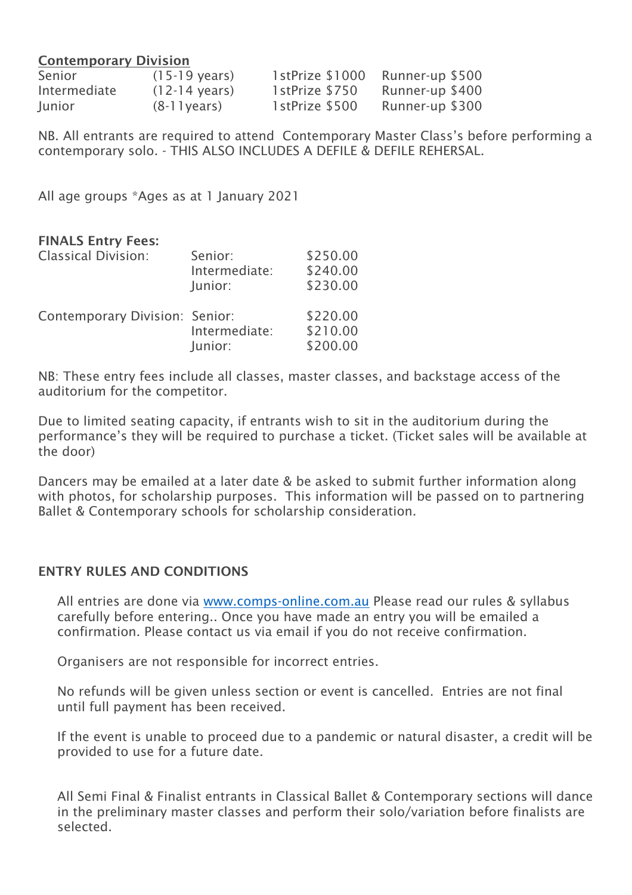#### Contemporary Division

| Senior       | $(15-19 \text{ years})$ | 1stPrize \$1000 | Runner-up \$500 |
|--------------|-------------------------|-----------------|-----------------|
| Intermediate | $(12-14 \text{ years})$ | 1stPrize \$750  | Runner-up \$400 |
| Junior       | $(8-11)$ years)         | 1stPrize \$500  | Runner-up \$300 |

NB. All entrants are required to attend Contemporary Master Class's before performing a contemporary solo. - THIS ALSO INCLUDES A DEFILE & DEFILE REHERSAL.

All age groups \*Ages as at 1 January 2021

## FINALS Entry Fees:

| <b>Classical Division:</b>            | Senior:<br>Intermediate:<br>Junior: | \$250.00<br>\$240.00<br>\$230.00 |
|---------------------------------------|-------------------------------------|----------------------------------|
| <b>Contemporary Division: Senior:</b> | Intermediate:<br>Junior:            | \$220.00<br>\$210.00<br>\$200.00 |

NB: These entry fees include all classes, master classes, and backstage access of the auditorium for the competitor.

Due to limited seating capacity, if entrants wish to sit in the auditorium during the performance's they will be required to purchase a ticket. (Ticket sales will be available at the door)

Dancers may be emailed at a later date & be asked to submit further information along with photos, for scholarship purposes. This information will be passed on to partnering Ballet & Contemporary schools for scholarship consideration.

# ENTRY RULES AND CONDITIONS

All entries are done via www.comps-online.com.au Please read our rules & syllabus carefully before entering.. Once you have made an entry you will be emailed a confirmation. Please contact us via email if you do not receive confirmation.

Organisers are not responsible for incorrect entries.

No refunds will be given unless section or event is cancelled. Entries are not final until full payment has been received.

If the event is unable to proceed due to a pandemic or natural disaster, a credit will be provided to use for a future date.

All Semi Final & Finalist entrants in Classical Ballet & Contemporary sections will dance in the preliminary master classes and perform their solo/variation before finalists are selected.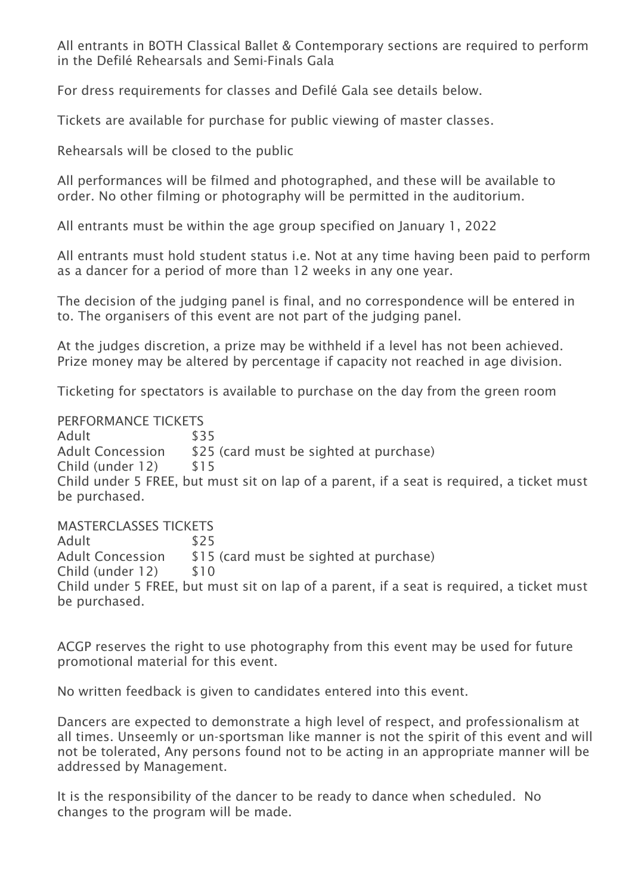All entrants in BOTH Classical Ballet & Contemporary sections are required to perform in the Defilé Rehearsals and Semi-Finals Gala

For dress requirements for classes and Defilé Gala see details below.

Tickets are available for purchase for public viewing of master classes.

Rehearsals will be closed to the public

All performances will be filmed and photographed, and these will be available to order. No other filming or photography will be permitted in the auditorium.

All entrants must be within the age group specified on January 1, 2022

All entrants must hold student status i.e. Not at any time having been paid to perform as a dancer for a period of more than 12 weeks in any one year.

The decision of the judging panel is final, and no correspondence will be entered in to. The organisers of this event are not part of the judging panel.

At the judges discretion, a prize may be withheld if a level has not been achieved. Prize money may be altered by percentage if capacity not reached in age division.

Ticketing for spectators is available to purchase on the day from the green room

#### PERFORMANCE TICKETS

Adult \$35 Adult Concession \$25 (card must be sighted at purchase) Child (under 12) \$15 Child under 5 FREE, but must sit on lap of a parent, if a seat is required, a ticket must be purchased.

MASTERCLASSES TICKETS

Adult \$25 Adult Concession \$15 (card must be sighted at purchase) Child (under 12) \$10 Child under 5 FREE, but must sit on lap of a parent, if a seat is required, a ticket must be purchased.

ACGP reserves the right to use photography from this event may be used for future promotional material for this event.

No written feedback is given to candidates entered into this event.

Dancers are expected to demonstrate a high level of respect, and professionalism at all times. Unseemly or un-sportsman like manner is not the spirit of this event and will not be tolerated, Any persons found not to be acting in an appropriate manner will be addressed by Management.

It is the responsibility of the dancer to be ready to dance when scheduled. No changes to the program will be made.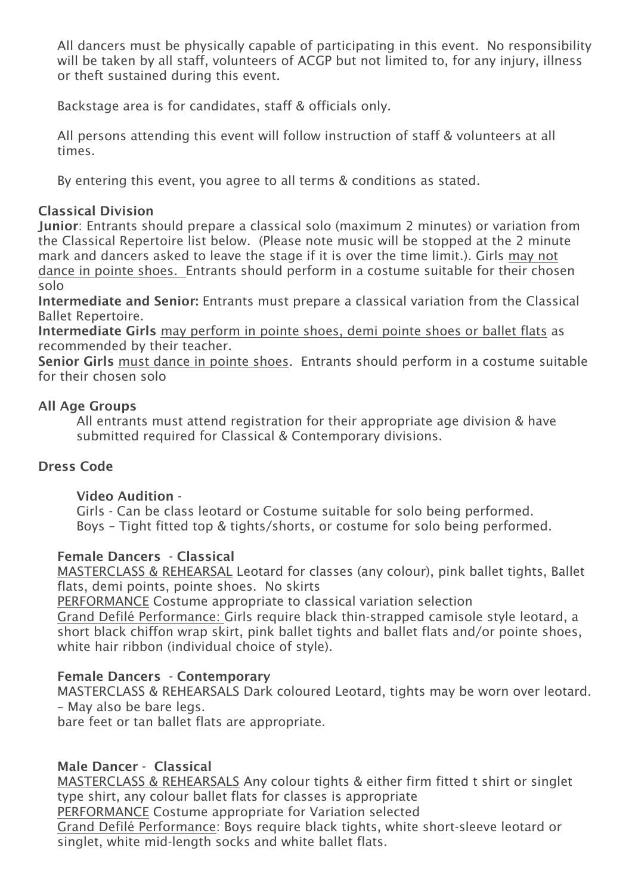All dancers must be physically capable of participating in this event. No responsibility will be taken by all staff, volunteers of ACGP but not limited to, for any injury, illness or theft sustained during this event.

Backstage area is for candidates, staff & officials only.

All persons attending this event will follow instruction of staff & volunteers at all times.

By entering this event, you agree to all terms & conditions as stated.

# Classical Division

Junior: Entrants should prepare a classical solo (maximum 2 minutes) or variation from the Classical Repertoire list below. (Please note music will be stopped at the 2 minute mark and dancers asked to leave the stage if it is over the time limit.). Girls may not dance in pointe shoes. Entrants should perform in a costume suitable for their chosen solo

Intermediate and Senior: Entrants must prepare a classical variation from the Classical Ballet Repertoire.

Intermediate Girls may perform in pointe shoes, demi pointe shoes or ballet flats as recommended by their teacher.

Senior Girls must dance in pointe shoes. Entrants should perform in a costume suitable for their chosen solo

# All Age Groups

All entrants must attend registration for their appropriate age division & have submitted required for Classical & Contemporary divisions.

# Dress Code

# Video Audition -

Girls - Can be class leotard or Costume suitable for solo being performed. Boys – Tight fitted top & tights/shorts, or costume for solo being performed.

# Female Dancers - Classical

MASTERCLASS & REHEARSAL Leotard for classes (any colour), pink ballet tights, Ballet flats, demi points, pointe shoes. No skirts

PERFORMANCE Costume appropriate to classical variation selection

Grand Defilé Performance: Girls require black thin-strapped camisole style leotard, a short black chiffon wrap skirt, pink ballet tights and ballet flats and/or pointe shoes, white hair ribbon (individual choice of style).

# Female Dancers - Contemporary

MASTERCLASS & REHEARSALS Dark coloured Leotard, tights may be worn over leotard. – May also be bare legs.

bare feet or tan ballet flats are appropriate.

# Male Dancer - Classical

MASTERCLASS & REHEARSALS Any colour tights & either firm fitted t shirt or singlet type shirt, any colour ballet flats for classes is appropriate

PERFORMANCE Costume appropriate for Variation selected

Grand Defilé Performance: Boys require black tights, white short-sleeve leotard or singlet, white mid-length socks and white ballet flats.